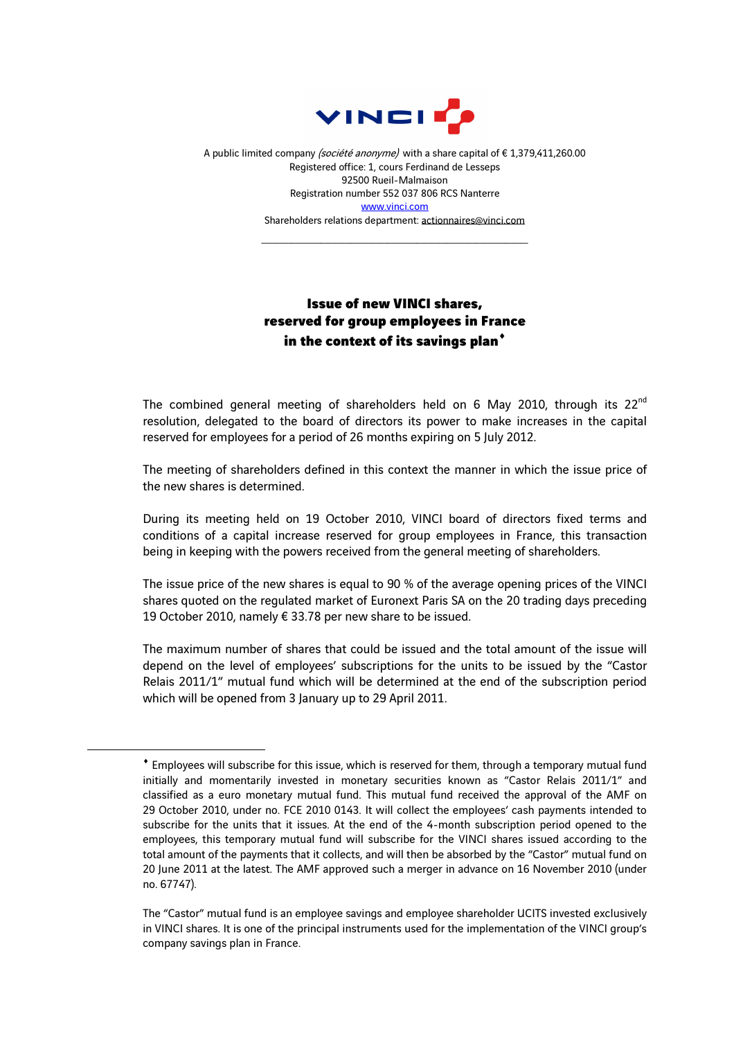

A public limited company (société anonyme) with a share capital of €1,379,411,260.00 Registered office: 1, cours Ferdinand de Lesseps 92500 Rueil-Malmaison Registration number 552 037 806 RCS Nanterre www.vinci.com Shareholders relations department: actionnaires@vinci.com

\_\_\_\_\_\_\_\_\_\_\_\_\_\_\_\_\_\_\_\_\_\_\_\_\_\_\_\_\_\_\_\_\_\_\_\_

## Issue of new VINCI shares, reserved for group employees in France in the context of its savings plan<sup>\*</sup>

The combined general meeting of shareholders held on 6 May 2010, through its  $22^{nd}$ resolution, delegated to the board of directors its power to make increases in the capital reserved for employees for a period of 26 months expiring on 5 July 2012.

The meeting of shareholders defined in this context the manner in which the issue price of the new shares is determined.

During its meeting held on 19 October 2010, VINCI board of directors fixed terms and conditions of a capital increase reserved for group employees in France, this transaction being in keeping with the powers received from the general meeting of shareholders.

The issue price of the new shares is equal to 90 % of the average opening prices of the VINCI shares quoted on the regulated market of Euronext Paris SA on the 20 trading days preceding 19 October 2010, namely € 33.78 per new share to be issued.

The maximum number of shares that could be issued and the total amount of the issue will depend on the level of employees' subscriptions for the units to be issued by the "Castor Relais 2011/1" mutual fund which will be determined at the end of the subscription period which will be opened from 3 January up to 29 April 2011.

 $\overline{a}$ 

<sup>♦</sup> Employees will subscribe for this issue, which is reserved for them, through a temporary mutual fund initially and momentarily invested in monetary securities known as "Castor Relais 2011/1" and classified as a euro monetary mutual fund. This mutual fund received the approval of the AMF on 29 October 2010, under no. FCE 2010 0143. It will collect the employees' cash payments intended to subscribe for the units that it issues. At the end of the 4-month subscription period opened to the employees, this temporary mutual fund will subscribe for the VINCI shares issued according to the total amount of the payments that it collects, and will then be absorbed by the "Castor" mutual fund on 20 June 2011 at the latest. The AMF approved such a merger in advance on 16 November 2010 (under no. 67747).

The "Castor" mutual fund is an employee savings and employee shareholder UCITS invested exclusively in VINCI shares. It is one of the principal instruments used for the implementation of the VINCI group's company savings plan in France.